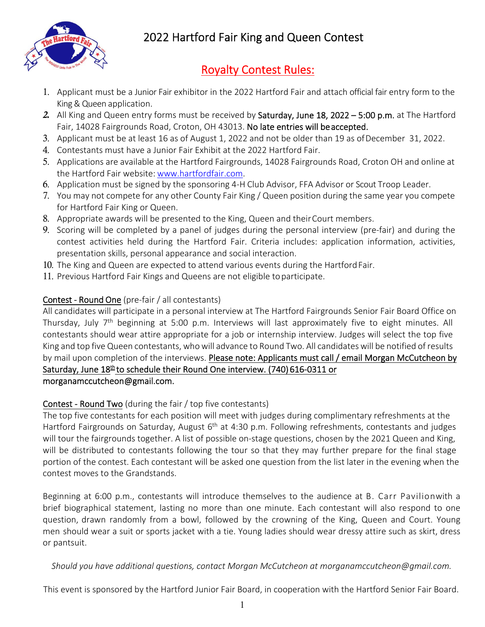

2022 Hartford Fair King and Queen Contest

## Royalty Contest Rules:

- 1. Applicant must be a Junior Fair exhibitor in the 2022 Hartford Fair and attach official fair entry form to the King& Queen application.
- *2.* All King and Queen entry forms must be received by Saturday, June 18, 2022 5:00 p.m. at The Hartford Fair, 14028 Fairgrounds Road, Croton, OH 43013. No late entries will be accepted.
- 3. Applicant must be at least 16 as of August 1, 2022 and not be older than 19 as ofDecember 31, 2022.
- 4. Contestants must have a Junior Fair Exhibit at the 2022 Hartford Fair.
- 5. Applications are available at the Hartford Fairgrounds, 14028 Fairgrounds Road, Croton OH and online at the Hartford Fair website: www.hartfordfair.com.
- 6. Application must be signed by the sponsoring 4‐H Club Advisor, FFA Advisor or Scout Troop Leader.
- 7. You may not compete for any other County Fair King / Queen position during the same year you compete for Hartford Fair King or Queen.
- 8. Appropriate awards will be presented to the King, Queen and theirCourt members.
- 9. Scoring will be completed by a panel of judges during the personal interview (pre-fair) and during the contest activities held during the Hartford Fair. Criteria includes: application information, activities, presentation skills, personal appearance and social interaction.
- 10. The King and Queen are expected to attend various events during the Hartford Fair.
- 11. Previous Hartford Fair Kings and Queens are not eligible toparticipate.

## Contest ‐ Round One (pre‐fair / all contestants)

All candidates will participate in a personal interview at The Hartford Fairgrounds Senior Fair Board Office on Thursday, July 7<sup>th</sup> beginning at 5:00 p.m. Interviews will last approximately five to eight minutes. All contestants should wear attire appropriate for a job or internship interview. Judges will select the top five King and top five Queen contestants, who will advance to Round Two. All candidateswill be notified of results by mail upon completion of the interviews. Please note: Applicants must call / email Morgan McCutcheon by Saturday, June 18<sup>th</sup> to schedule their Round One interview. (740) 616-0311 or morganamccutcheon@gmail.com.

## Contest ‐ Round Two (during the fair / top five contestants)

The top five contestants for each position will meet with judges during complimentary refreshments at the Hartford Fairgrounds on Saturday, August 6<sup>th</sup> at 4:30 p.m. Following refreshments, contestants and judges will tour the fairgrounds together. A list of possible on-stage questions, chosen by the 2021 Queen and King, will be distributed to contestants following the tour so that they may further prepare for the final stage portion of the contest. Each contestant will be asked one question from the list later in the evening when the contest moves to the Grandstands.

Beginning at 6:00 p.m., contestants will introduce themselves to the audience at B. Carr Pavilionwith a brief biographical statement, lasting no more than one minute. Each contestant will also respond to one question, drawn randomly from a bowl, followed by the crowning of the King, Queen and Court. Young men should wear a suit or sports jacket with a tie. Young ladies should wear dressy attire such as skirt, dress or pantsuit.

*Should you have additional questions, contact Morgan McCutcheon at morganamccutcheon@gmail.com.*

This event is sponsored by the Hartford Junior Fair Board, in cooperation with the Hartford Senior Fair Board.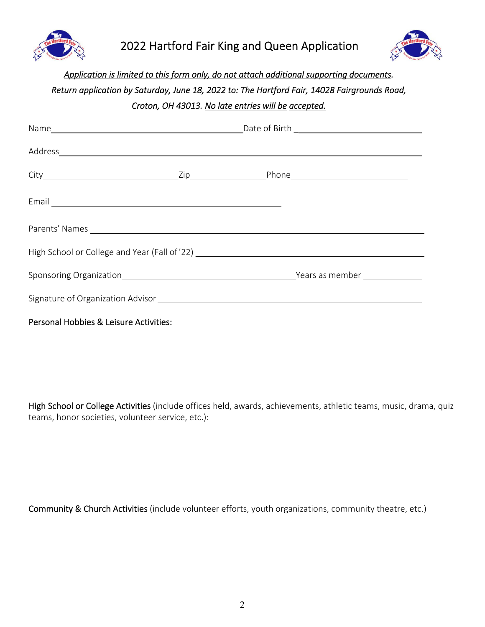



## Application is limited to this form only, do not attach additional supporting documents. Return application by Saturday, June 18, 2022 to: The Hartford Fair, 14028 Fairgrounds Road, *Croton, OH 43013. No late entries will be accepted.*

|                                        | Name Late of Birth Late of Birth Late of Birth Late of Birth Late of Birth Late of Birth Late of Birth Late of Birth Late of Birth Late of Birth Late of Birth Late of Birth Late of Birth Late of Birth |  |  |
|----------------------------------------|----------------------------------------------------------------------------------------------------------------------------------------------------------------------------------------------------------|--|--|
|                                        |                                                                                                                                                                                                          |  |  |
|                                        |                                                                                                                                                                                                          |  |  |
|                                        |                                                                                                                                                                                                          |  |  |
|                                        |                                                                                                                                                                                                          |  |  |
|                                        |                                                                                                                                                                                                          |  |  |
|                                        |                                                                                                                                                                                                          |  |  |
|                                        |                                                                                                                                                                                                          |  |  |
| Personal Hobbies & Leisure Activities: |                                                                                                                                                                                                          |  |  |

High School or College Activities (include offices held, awards, achievements, athletic teams, music, drama, quiz teams, honor societies, volunteer service, etc.):

Community & Church Activities (include volunteer efforts, youth organizations, community theatre, etc.)